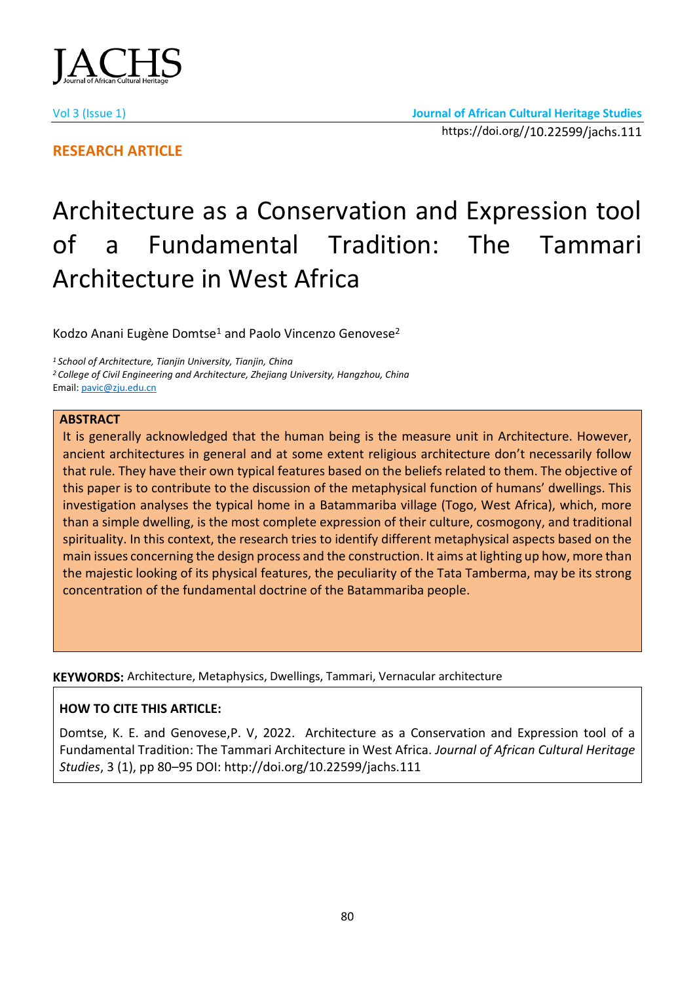

**RESEARCH ARTICLE**

# Architecture as a Conservation and Expression tool of a Fundamental Tradition: The Tammari Architecture in West Africa

Kodzo Anani Eugène Domtse<sup>1</sup> and Paolo Vincenzo Genovese<sup>2</sup>

*<sup>1</sup>School of Architecture, Tianjin University, Tianjin, China <sup>2</sup>College of Civil Engineering and Architecture, Zhejiang University, Hangzhou, China* Email[: pavic@zju.edu.cn](mailto:pavic@zju.edu.cn)

## **ABSTRACT**

It is generally acknowledged that the human being is the measure unit in Architecture. However, ancient architectures in general and at some extent religious architecture don't necessarily follow that rule. They have their own typical features based on the beliefs related to them. The objective of this paper is to contribute to the discussion of the metaphysical function of humans' dwellings. This investigation analyses the typical home in a Batammariba village (Togo, West Africa), which, more than a simple dwelling, is the most complete expression of their culture, cosmogony, and traditional spirituality. In this context, the research tries to identify different metaphysical aspects based on the main issues concerning the design process and the construction. It aims at lighting up how, more than the majestic looking of its physical features, the peculiarity of the Tata Tamberma, may be its strong concentration of the fundamental doctrine of the Batammariba people.

**KEYWORDS:** Architecture, Metaphysics, Dwellings, Tammari, Vernacular architecture

## **HOW TO CITE THIS ARTICLE:**

Domtse, K. E. and Genovese,P. V, 2022. Architecture as a Conservation and Expression tool of a Fundamental Tradition: The Tammari Architecture in West Africa. *Journal of African Cultural Heritage Studies*, 3 (1), pp 80–95 DOI: http://doi.org/10.22599/jachs.111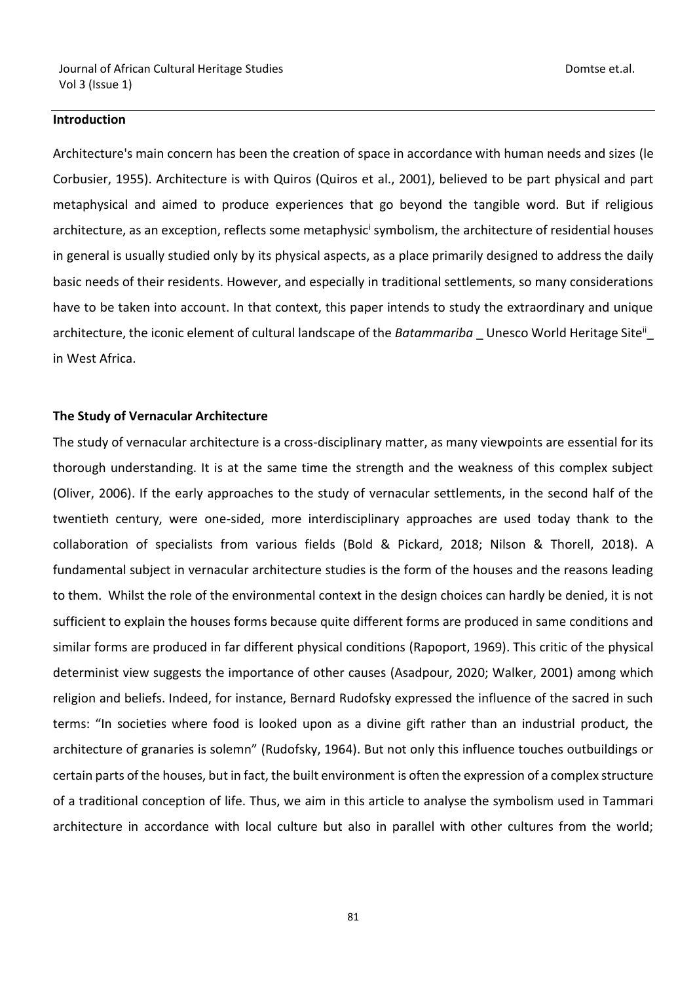## **Introduction**

Architecture's main concern has been the creation of space in accordance with human needs and sizes (le Corbusier, 1955). Architecture is with Quiros (Quiros et al., 2001), believed to be part physical and part metaphysical and aimed to produce experiences that go beyond the tangible word. But if religious architecture, as an exception, reflects some metaphysic<sup>i</sup> symbolism, the architecture of residential houses in general is usually studied only by its physical aspects, as a place primarily designed to address the daily basic needs of their residents. However, and especially in traditional settlements, so many considerations have to be taken into account. In that context, this paper intends to study the extraordinary and unique architecture, the iconic element of cultural landscape of the *Batammariba* Unesco World Heritage Site<sup>ii</sup> in West Africa.

## **The Study of Vernacular Architecture**

The study of vernacular architecture is a cross-disciplinary matter, as many viewpoints are essential for its thorough understanding. It is at the same time the strength and the weakness of this complex subject (Oliver, 2006). If the early approaches to the study of vernacular settlements, in the second half of the twentieth century, were one-sided, more interdisciplinary approaches are used today thank to the collaboration of specialists from various fields (Bold & Pickard, 2018; Nilson & Thorell, 2018). A fundamental subject in vernacular architecture studies is the form of the houses and the reasons leading to them. Whilst the role of the environmental context in the design choices can hardly be denied, it is not sufficient to explain the houses forms because quite different forms are produced in same conditions and similar forms are produced in far different physical conditions (Rapoport, 1969). This critic of the physical determinist view suggests the importance of other causes (Asadpour, 2020; Walker, 2001) among which religion and beliefs. Indeed, for instance, Bernard Rudofsky expressed the influence of the sacred in such terms: "In societies where food is looked upon as a divine gift rather than an industrial product, the architecture of granaries is solemn" (Rudofsky, 1964). But not only this influence touches outbuildings or certain parts of the houses, but in fact, the built environment is often the expression of a complex structure of a traditional conception of life. Thus, we aim in this article to analyse the symbolism used in Tammari architecture in accordance with local culture but also in parallel with other cultures from the world;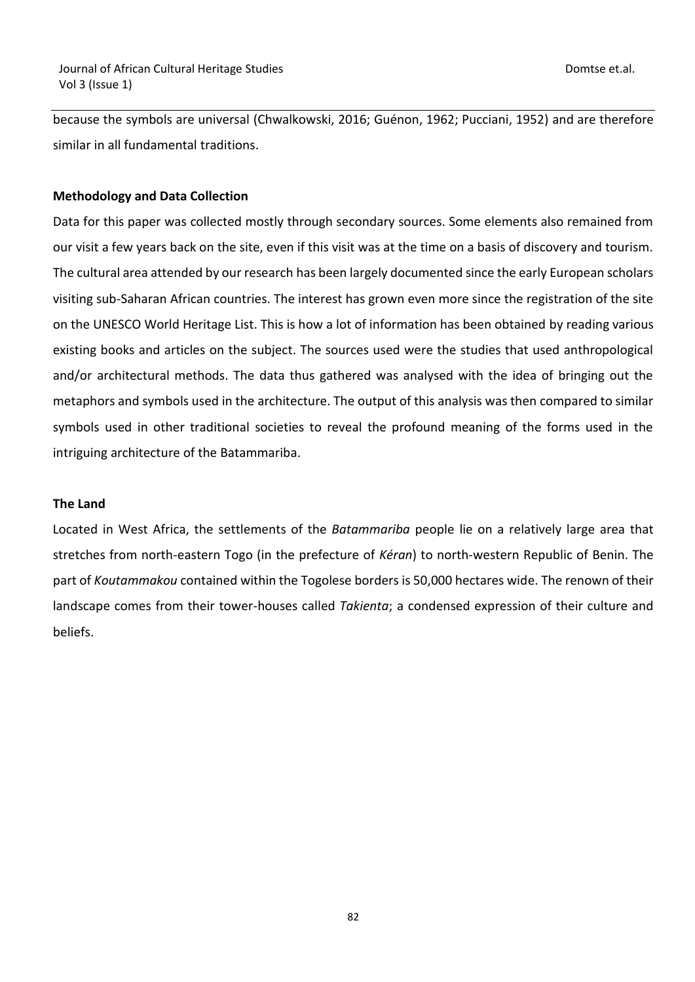because the symbols are universal (Chwalkowski, 2016; Guénon, 1962; Pucciani, 1952) and are therefore similar in all fundamental traditions.

## **Methodology and Data Collection**

Data for this paper was collected mostly through secondary sources. Some elements also remained from our visit a few years back on the site, even if this visit was at the time on a basis of discovery and tourism. The cultural area attended by our research has been largely documented since the early European scholars visiting sub-Saharan African countries. The interest has grown even more since the registration of the site on the UNESCO World Heritage List. This is how a lot of information has been obtained by reading various existing books and articles on the subject. The sources used were the studies that used anthropological and/or architectural methods. The data thus gathered was analysed with the idea of bringing out the metaphors and symbols used in the architecture. The output of this analysis was then compared to similar symbols used in other traditional societies to reveal the profound meaning of the forms used in the intriguing architecture of the Batammariba.

## **The Land**

Located in West Africa, the settlements of the *Batammariba* people lie on a relatively large area that stretches from north-eastern Togo (in the prefecture of *Kéran*) to north-western Republic of Benin. The part of *Koutammakou* contained within the Togolese borders is 50,000 hectares wide. The renown of their landscape comes from their tower-houses called *Takienta*; a condensed expression of their culture and beliefs.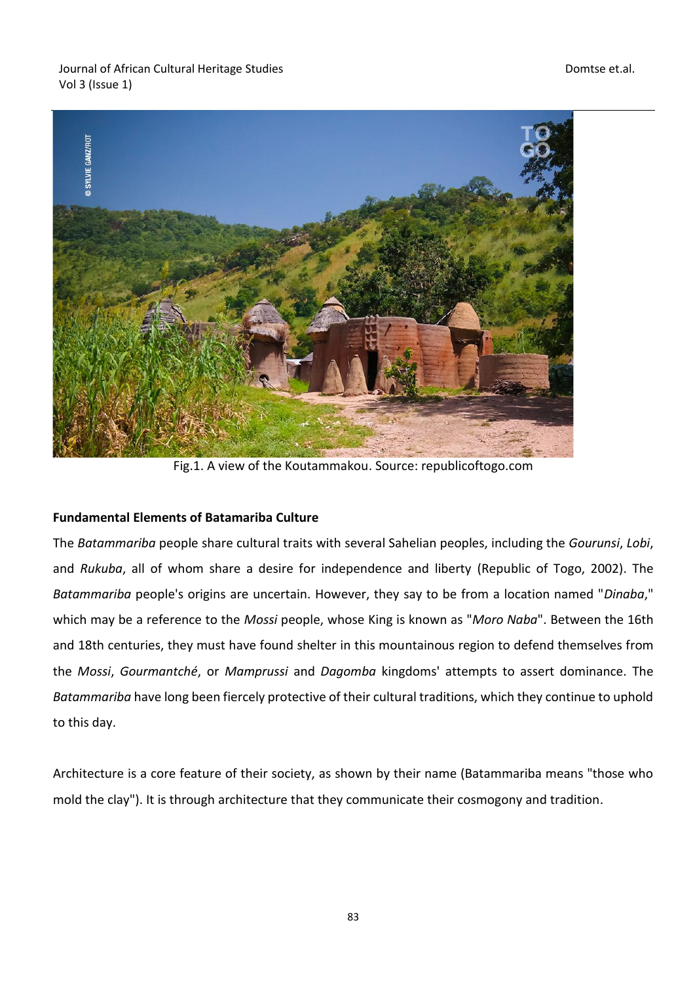

Fig.1. A view of the Koutammakou. Source: republicoftogo.com

## **Fundamental Elements of Batamariba Culture**

The *Batammariba* people share cultural traits with several Sahelian peoples, including the *Gourunsi*, *Lobi*, and *Rukuba*, all of whom share a desire for independence and liberty (Republic of Togo, 2002). The *Batammariba* people's origins are uncertain. However, they say to be from a location named "*Dinaba*," which may be a reference to the *Mossi* people, whose King is known as "*Moro Naba*". Between the 16th and 18th centuries, they must have found shelter in this mountainous region to defend themselves from the *Mossi*, *Gourmantché*, or *Mamprussi* and *Dagomba* kingdoms' attempts to assert dominance. The *Batammariba* have long been fiercely protective of their cultural traditions, which they continue to uphold to this day.

Architecture is a core feature of their society, as shown by their name (Batammariba means "those who mold the clay"). It is through architecture that they communicate their cosmogony and tradition.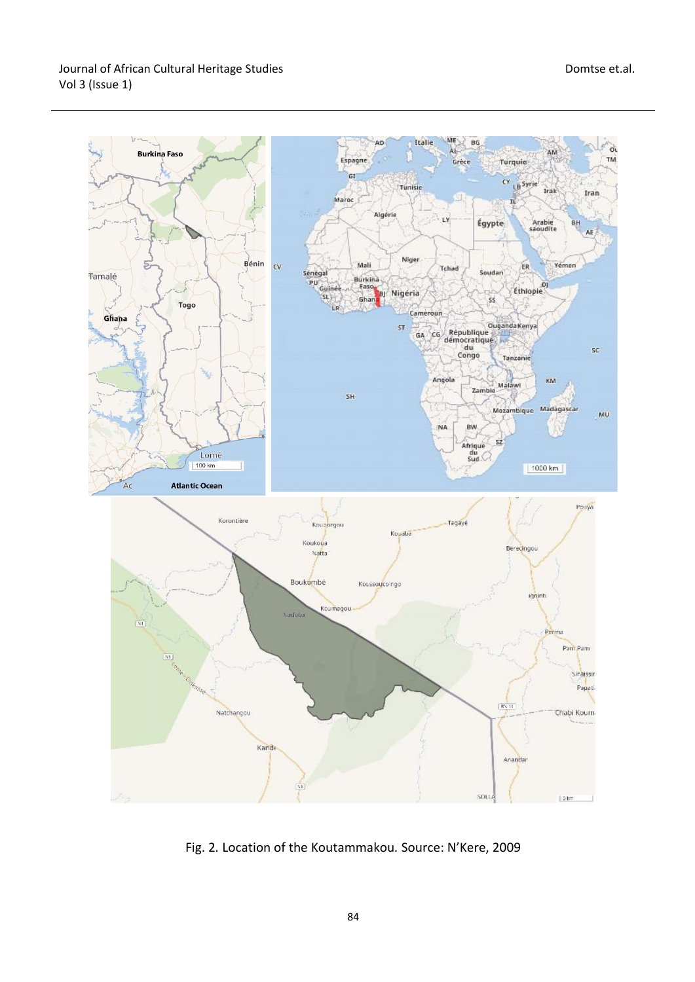

Fig. 2*.* Location of the Koutammakou*.* Source: N'Kere, 2009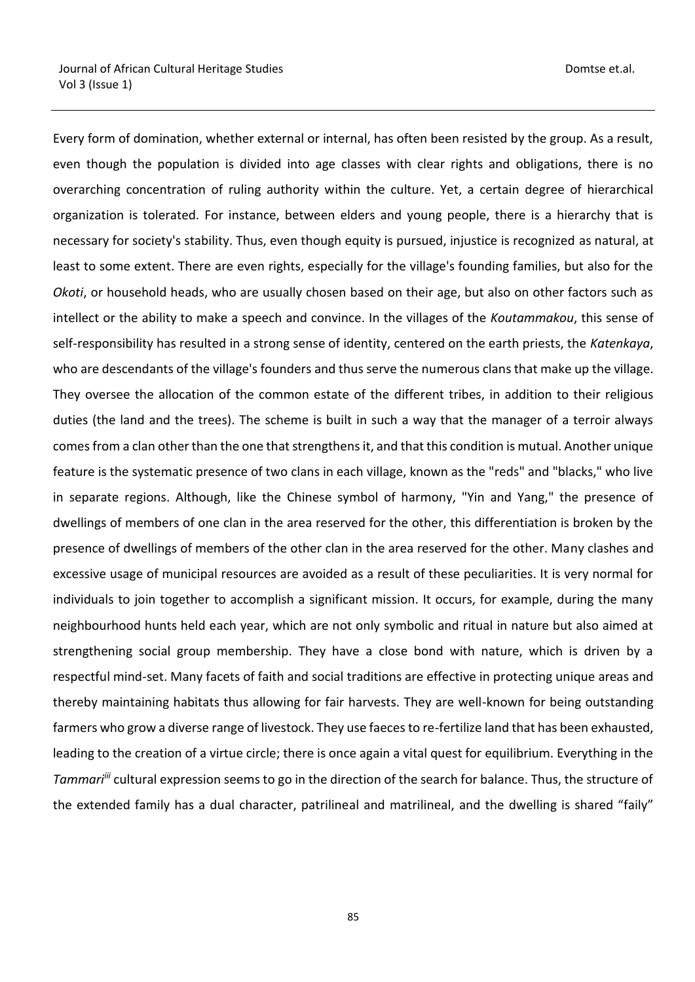Every form of domination, whether external or internal, has often been resisted by the group. As a result, even though the population is divided into age classes with clear rights and obligations, there is no overarching concentration of ruling authority within the culture. Yet, a certain degree of hierarchical organization is tolerated. For instance, between elders and young people, there is a hierarchy that is necessary for society's stability. Thus, even though equity is pursued, injustice is recognized as natural, at least to some extent. There are even rights, especially for the village's founding families, but also for the *Okoti*, or household heads, who are usually chosen based on their age, but also on other factors such as intellect or the ability to make a speech and convince. In the villages of the *Koutammakou*, this sense of self-responsibility has resulted in a strong sense of identity, centered on the earth priests, the *Katenkaya*, who are descendants of the village's founders and thus serve the numerous clans that make up the village. They oversee the allocation of the common estate of the different tribes, in addition to their religious duties (the land and the trees). The scheme is built in such a way that the manager of a terroir always comes from a clan other than the one that strengthens it, and that this condition is mutual. Another unique feature is the systematic presence of two clans in each village, known as the "reds" and "blacks," who live in separate regions. Although, like the Chinese symbol of harmony, "Yin and Yang," the presence of dwellings of members of one clan in the area reserved for the other, this differentiation is broken by the presence of dwellings of members of the other clan in the area reserved for the other. Many clashes and excessive usage of municipal resources are avoided as a result of these peculiarities. It is very normal for individuals to join together to accomplish a significant mission. It occurs, for example, during the many neighbourhood hunts held each year, which are not only symbolic and ritual in nature but also aimed at strengthening social group membership. They have a close bond with nature, which is driven by a respectful mind-set. Many facets of faith and social traditions are effective in protecting unique areas and thereby maintaining habitats thus allowing for fair harvests. They are well-known for being outstanding farmers who grow a diverse range of livestock. They use faeces to re-fertilize land that has been exhausted, leading to the creation of a virtue circle; there is once again a vital quest for equilibrium. Everything in the *Tammariiii* cultural expression seems to go in the direction of the search for balance. Thus, the structure of the extended family has a dual character, patrilineal and matrilineal, and the dwelling is shared "faily"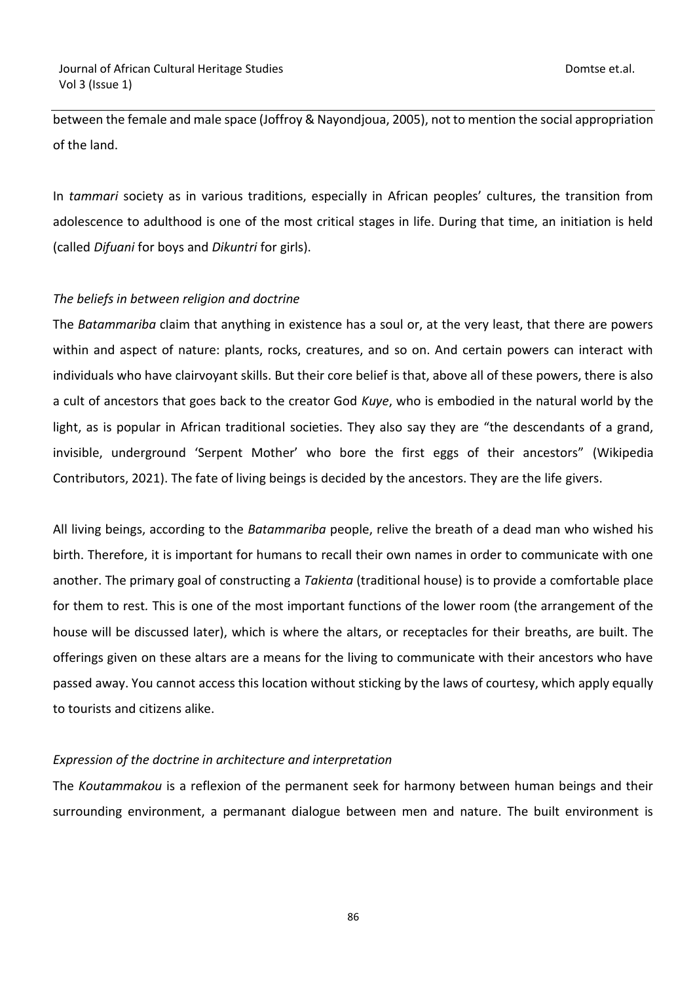between the female and male space (Joffroy & Nayondjoua, 2005), not to mention the social appropriation of the land.

In *tammari* society as in various traditions, especially in African peoples' cultures, the transition from adolescence to adulthood is one of the most critical stages in life. During that time, an initiation is held (called *Difuani* for boys and *Dikuntri* for girls).

## *The beliefs in between religion and doctrine*

The *Batammariba* claim that anything in existence has a soul or, at the very least, that there are powers within and aspect of nature: plants, rocks, creatures, and so on. And certain powers can interact with individuals who have clairvoyant skills. But their core belief is that, above all of these powers, there is also a cult of ancestors that goes back to the creator God *Kuye*, who is embodied in the natural world by the light, as is popular in African traditional societies. They also say they are "the descendants of a grand, invisible, underground 'Serpent Mother' who bore the first eggs of their ancestors" (Wikipedia Contributors, 2021). The fate of living beings is decided by the ancestors. They are the life givers.

All living beings, according to the *Batammariba* people, relive the breath of a dead man who wished his birth. Therefore, it is important for humans to recall their own names in order to communicate with one another. The primary goal of constructing a *Takienta* (traditional house) is to provide a comfortable place for them to rest*.* This is one of the most important functions of the lower room (the arrangement of the house will be discussed later), which is where the altars, or receptacles for their breaths, are built. The offerings given on these altars are a means for the living to communicate with their ancestors who have passed away. You cannot access this location without sticking by the laws of courtesy, which apply equally to tourists and citizens alike.

## *Expression of the doctrine in architecture and interpretation*

The *Koutammakou* is a reflexion of the permanent seek for harmony between human beings and their surrounding environment, a permanant dialogue between men and nature. The built environment is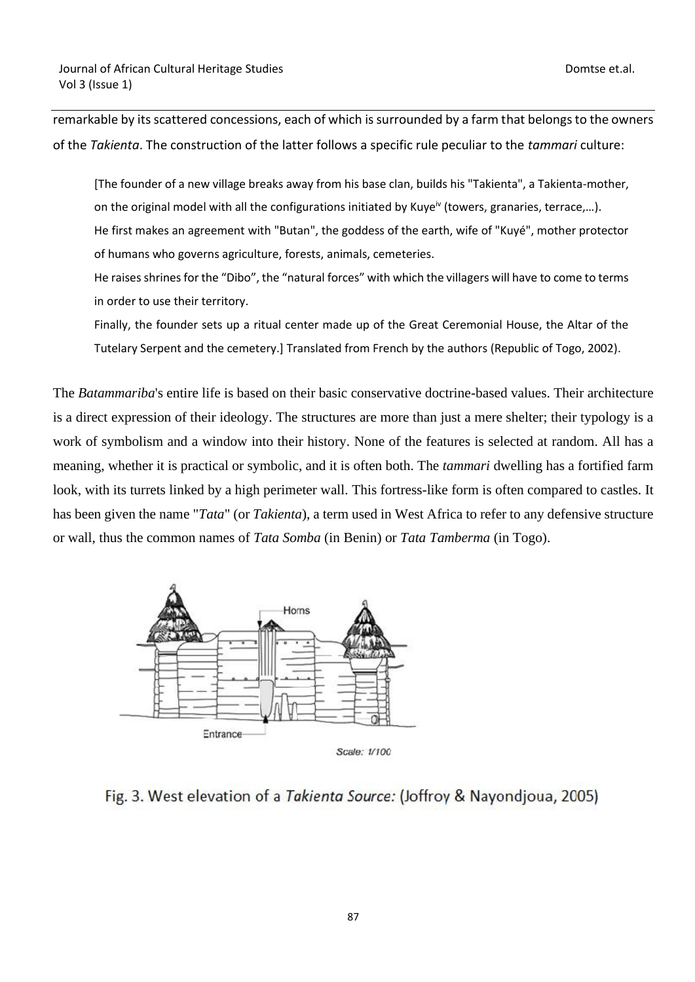remarkable by its scattered concessions, each of which is surrounded by a farm that belongs to the owners of the *Takienta*. The construction of the latter follows a specific rule peculiar to the *tammari* culture:

[The founder of a new village breaks away from his base clan, builds his "Takienta", a Takienta-mother, on the original model with all the configurations initiated by Kuye<sup>iv</sup> (towers, granaries, terrace,...). He first makes an agreement with "Butan", the goddess of the earth, wife of "Kuyé", mother protector of humans who governs agriculture, forests, animals, cemeteries.

He raises shrines for the "Dibo", the "natural forces" with which the villagers will have to come to terms in order to use their territory.

Finally, the founder sets up a ritual center made up of the Great Ceremonial House, the Altar of the Tutelary Serpent and the cemetery.] Translated from French by the authors (Republic of Togo, 2002).

The *Batammariba*'s entire life is based on their basic conservative doctrine-based values. Their architecture is a direct expression of their ideology. The structures are more than just a mere shelter; their typology is a work of symbolism and a window into their history. None of the features is selected at random. All has a meaning, whether it is practical or symbolic, and it is often both. The *tammari* dwelling has a fortified farm look, with its turrets linked by a high perimeter wall. This fortress-like form is often compared to castles. It has been given the name "*Tata*" (or *Takienta*), a term used in West Africa to refer to any defensive structure or wall, thus the common names of *Tata Somba* (in Benin) or *Tata Tamberma* (in Togo).



Fig. 3. West elevation of a Takienta Source: (Joffroy & Nayondjoua, 2005)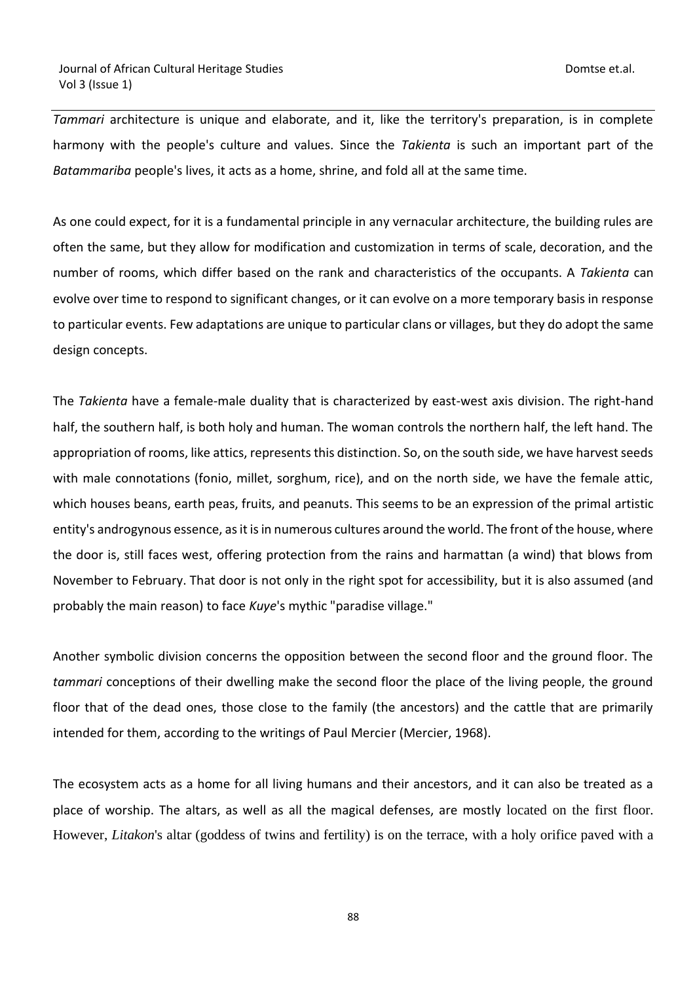*Tammari* architecture is unique and elaborate, and it, like the territory's preparation, is in complete harmony with the people's culture and values. Since the *Takienta* is such an important part of the *Batammariba* people's lives, it acts as a home, shrine, and fold all at the same time.

As one could expect, for it is a fundamental principle in any vernacular architecture, the building rules are often the same, but they allow for modification and customization in terms of scale, decoration, and the number of rooms, which differ based on the rank and characteristics of the occupants. A *Takienta* can evolve over time to respond to significant changes, or it can evolve on a more temporary basis in response to particular events. Few adaptations are unique to particular clans or villages, but they do adopt the same design concepts.

The *Takienta* have a female-male duality that is characterized by east-west axis division. The right-hand half, the southern half, is both holy and human. The woman controls the northern half, the left hand. The appropriation of rooms, like attics, represents this distinction. So, on the south side, we have harvest seeds with male connotations (fonio, millet, sorghum, rice), and on the north side, we have the female attic, which houses beans, earth peas, fruits, and peanuts. This seems to be an expression of the primal artistic entity's androgynous essence, as it is in numerous cultures around the world. The front of the house, where the door is, still faces west, offering protection from the rains and harmattan (a wind) that blows from November to February. That door is not only in the right spot for accessibility, but it is also assumed (and probably the main reason) to face *Kuye*'s mythic "paradise village."

Another symbolic division concerns the opposition between the second floor and the ground floor. The *tammari* conceptions of their dwelling make the second floor the place of the living people, the ground floor that of the dead ones, those close to the family (the ancestors) and the cattle that are primarily intended for them, according to the writings of Paul Mercier (Mercier, 1968).

The ecosystem acts as a home for all living humans and their ancestors, and it can also be treated as a place of worship. The altars, as well as all the magical defenses, are mostly located on the first floor. However, *Litakon*'s altar (goddess of twins and fertility) is on the terrace, with a holy orifice paved with a

88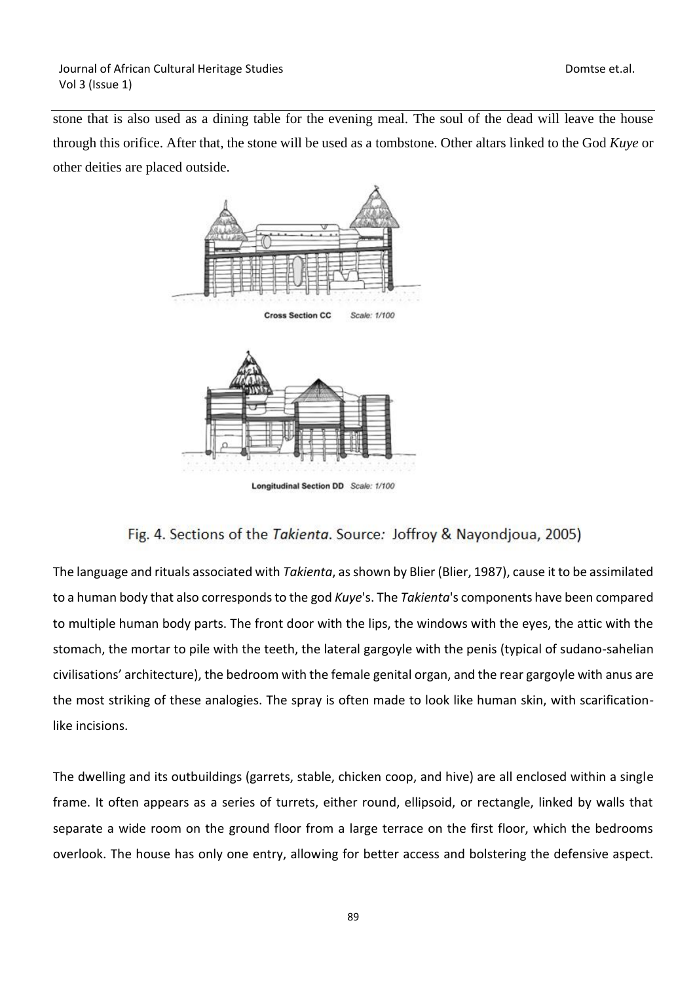stone that is also used as a dining table for the evening meal. The soul of the dead will leave the house through this orifice. After that, the stone will be used as a tombstone. Other altars linked to the God *Kuye* or other deities are placed outside.



Longitudinal Section DD Scale: 1/100

# Fig. 4. Sections of the Takienta. Source: Joffroy & Nayondjoua, 2005)

The language and rituals associated with *Takienta*, as shown by Blier (Blier, 1987), cause it to be assimilated to a human body that also corresponds to the god *Kuye*'s. The *Takienta*'s components have been compared to multiple human body parts. The front door with the lips, the windows with the eyes, the attic with the stomach, the mortar to pile with the teeth, the lateral gargoyle with the penis (typical of sudano-sahelian civilisations' architecture), the bedroom with the female genital organ, and the rear gargoyle with anus are the most striking of these analogies. The spray is often made to look like human skin, with scarificationlike incisions.

The dwelling and its outbuildings (garrets, stable, chicken coop, and hive) are all enclosed within a single frame. It often appears as a series of turrets, either round, ellipsoid, or rectangle, linked by walls that separate a wide room on the ground floor from a large terrace on the first floor, which the bedrooms overlook. The house has only one entry, allowing for better access and bolstering the defensive aspect.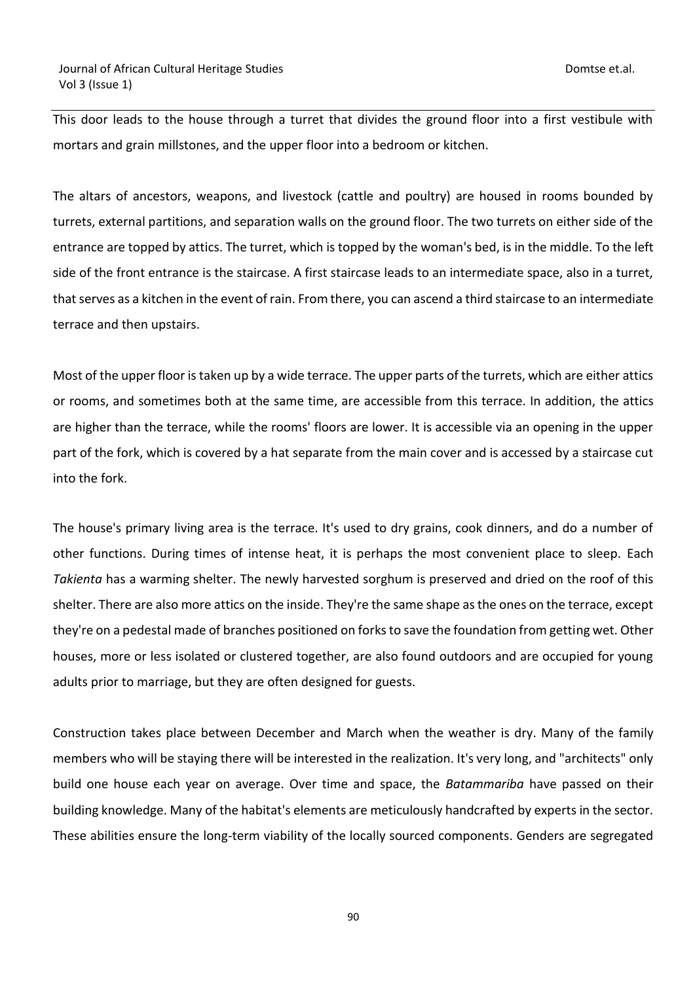This door leads to the house through a turret that divides the ground floor into a first vestibule with mortars and grain millstones, and the upper floor into a bedroom or kitchen.

The altars of ancestors, weapons, and livestock (cattle and poultry) are housed in rooms bounded by turrets, external partitions, and separation walls on the ground floor. The two turrets on either side of the entrance are topped by attics. The turret, which is topped by the woman's bed, is in the middle. To the left side of the front entrance is the staircase. A first staircase leads to an intermediate space, also in a turret, that serves as a kitchen in the event of rain. From there, you can ascend a third staircase to an intermediate terrace and then upstairs.

Most of the upper floor is taken up by a wide terrace. The upper parts of the turrets, which are either attics or rooms, and sometimes both at the same time, are accessible from this terrace. In addition, the attics are higher than the terrace, while the rooms' floors are lower. It is accessible via an opening in the upper part of the fork, which is covered by a hat separate from the main cover and is accessed by a staircase cut into the fork.

The house's primary living area is the terrace. It's used to dry grains, cook dinners, and do a number of other functions. During times of intense heat, it is perhaps the most convenient place to sleep. Each *Takienta* has a warming shelter. The newly harvested sorghum is preserved and dried on the roof of this shelter. There are also more attics on the inside. They're the same shape as the ones on the terrace, except they're on a pedestal made of branches positioned on forks to save the foundation from getting wet. Other houses, more or less isolated or clustered together, are also found outdoors and are occupied for young adults prior to marriage, but they are often designed for guests.

Construction takes place between December and March when the weather is dry. Many of the family members who will be staying there will be interested in the realization. It's very long, and "architects" only build one house each year on average. Over time and space, the *Batammariba* have passed on their building knowledge. Many of the habitat's elements are meticulously handcrafted by experts in the sector. These abilities ensure the long-term viability of the locally sourced components. Genders are segregated

90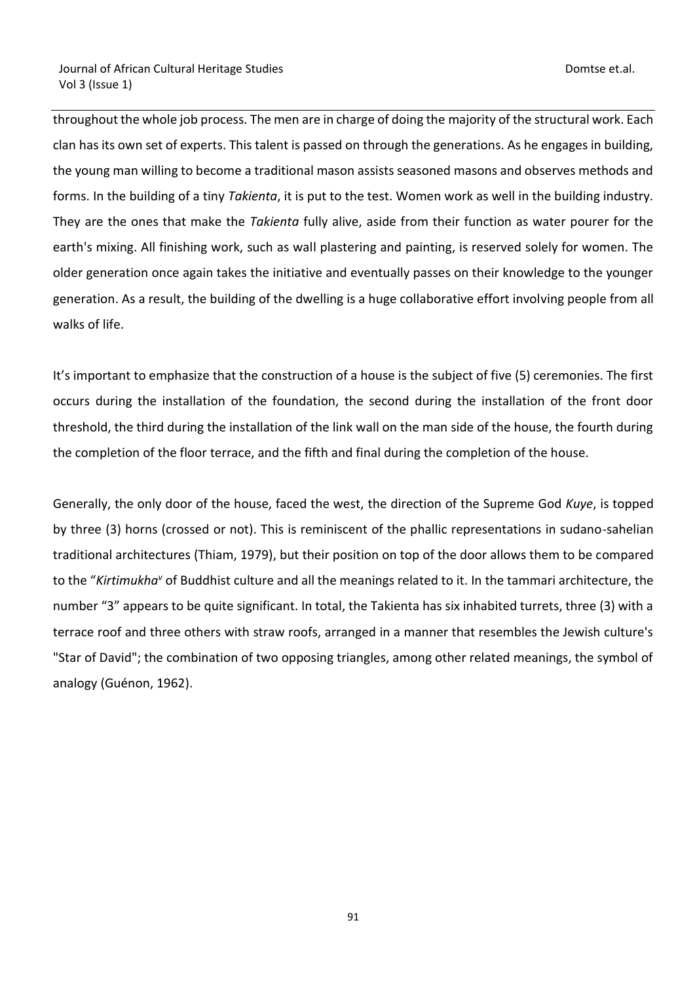throughout the whole job process. The men are in charge of doing the majority of the structural work. Each clan has its own set of experts. This talent is passed on through the generations. As he engages in building, the young man willing to become a traditional mason assists seasoned masons and observes methods and forms. In the building of a tiny *Takienta*, it is put to the test. Women work as well in the building industry. They are the ones that make the *Takienta* fully alive, aside from their function as water pourer for the earth's mixing. All finishing work, such as wall plastering and painting, is reserved solely for women. The older generation once again takes the initiative and eventually passes on their knowledge to the younger generation. As a result, the building of the dwelling is a huge collaborative effort involving people from all walks of life.

It's important to emphasize that the construction of a house is the subject of five (5) ceremonies. The first occurs during the installation of the foundation, the second during the installation of the front door threshold, the third during the installation of the link wall on the man side of the house, the fourth during the completion of the floor terrace, and the fifth and final during the completion of the house.

Generally, the only door of the house, faced the west, the direction of the Supreme God *Kuye*, is topped by three (3) horns (crossed or not). This is reminiscent of the phallic representations in sudano-sahelian traditional architectures (Thiam, 1979), but their position on top of the door allows them to be compared to the "*Kirtimukha<sup>v</sup>* of Buddhist culture and all the meanings related to it. In the tammari architecture, the number "3" appears to be quite significant. In total, the Takienta has six inhabited turrets, three (3) with a terrace roof and three others with straw roofs, arranged in a manner that resembles the Jewish culture's "Star of David"; the combination of two opposing triangles, among other related meanings, the symbol of analogy (Guénon, 1962).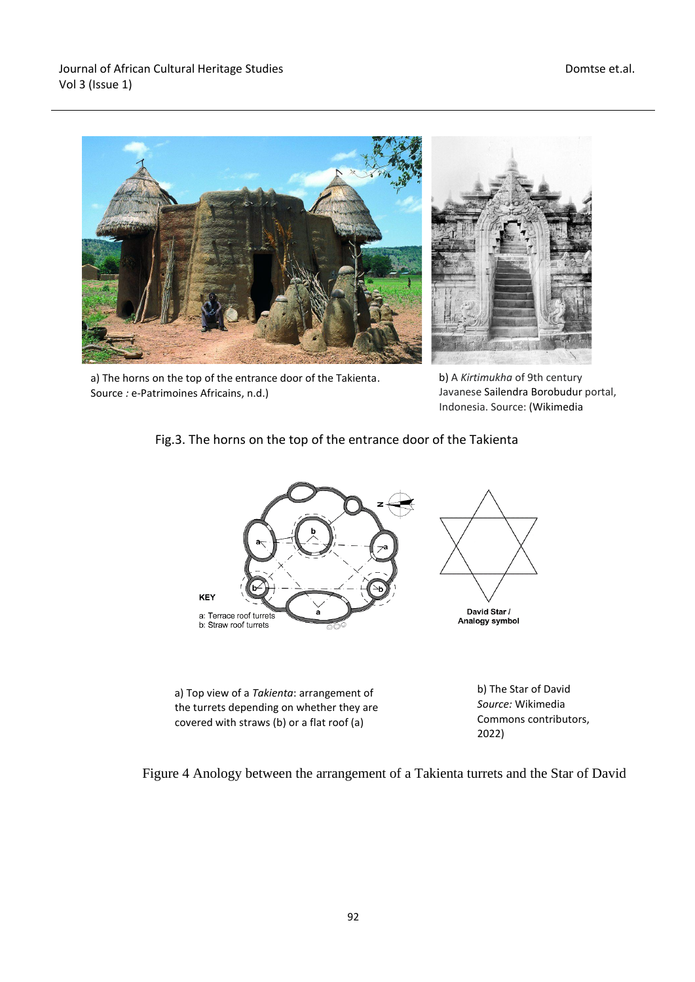

a) The horns on the top of the entrance door of the Takienta. Source *:* e-Patrimoines Africains, n.d.)



b) A *Kirtimukha* of 9th century Javanese Sailendra Borobudur portal, Indonesia. Source: (Wikimedia

# Fig.3. The horns on the top of the entrance door of the Takienta



the turrets depending on whether they are covered with straws (b) or a flat roof (a)

b) The Star of David *Source:* Wikimedia Commons contributors, 2022)

Figure 4 Anology between the arrangement of a Takienta turrets and the Star of David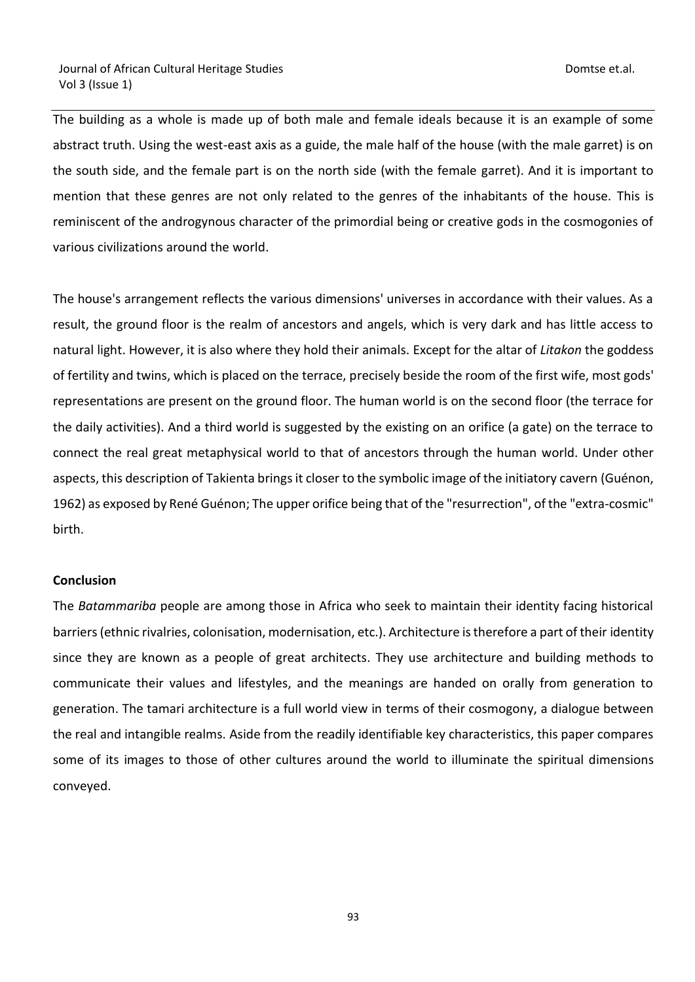The building as a whole is made up of both male and female ideals because it is an example of some abstract truth. Using the west-east axis as a guide, the male half of the house (with the male garret) is on the south side, and the female part is on the north side (with the female garret). And it is important to mention that these genres are not only related to the genres of the inhabitants of the house. This is reminiscent of the androgynous character of the primordial being or creative gods in the cosmogonies of various civilizations around the world.

The house's arrangement reflects the various dimensions' universes in accordance with their values. As a result, the ground floor is the realm of ancestors and angels, which is very dark and has little access to natural light. However, it is also where they hold their animals. Except for the altar of *Litakon* the goddess of fertility and twins, which is placed on the terrace, precisely beside the room of the first wife, most gods' representations are present on the ground floor. The human world is on the second floor (the terrace for the daily activities). And a third world is suggested by the existing on an orifice (a gate) on the terrace to connect the real great metaphysical world to that of ancestors through the human world. Under other aspects, this description of Takienta brings it closer to the symbolic image of the initiatory cavern (Guénon, 1962) as exposed by René Guénon; The upper orifice being that of the "resurrection", of the "extra-cosmic" birth.

## **Conclusion**

The *Batammariba* people are among those in Africa who seek to maintain their identity facing historical barriers (ethnic rivalries, colonisation, modernisation, etc.). Architecture is therefore a part of their identity since they are known as a people of great architects. They use architecture and building methods to communicate their values and lifestyles, and the meanings are handed on orally from generation to generation. The tamari architecture is a full world view in terms of their cosmogony, a dialogue between the real and intangible realms. Aside from the readily identifiable key characteristics, this paper compares some of its images to those of other cultures around the world to illuminate the spiritual dimensions conveyed.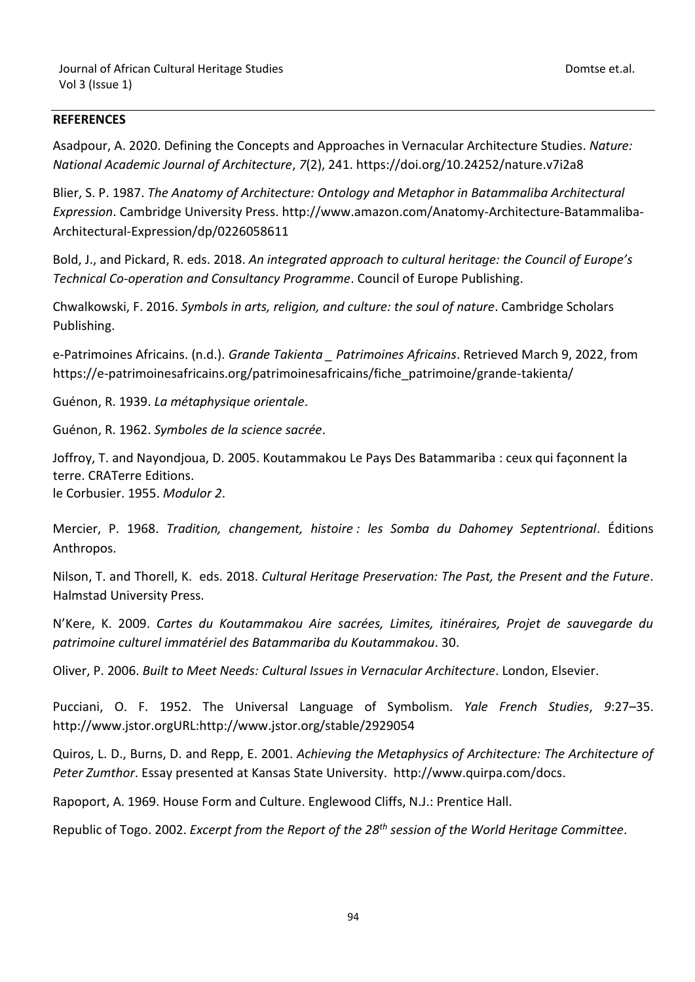## **REFERENCES**

Asadpour, A. 2020. Defining the Concepts and Approaches in Vernacular Architecture Studies. *Nature: National Academic Journal of Architecture*, *7*(2), 241. https://doi.org/10.24252/nature.v7i2a8

Blier, S. P. 1987. *The Anatomy of Architecture: Ontology and Metaphor in Batammaliba Architectural Expression*. Cambridge University Press. http://www.amazon.com/Anatomy-Architecture-Batammaliba-Architectural-Expression/dp/0226058611

Bold, J., and Pickard, R. eds. 2018. *An integrated approach to cultural heritage: the Council of Europe's Technical Co-operation and Consultancy Programme*. Council of Europe Publishing.

Chwalkowski, F. 2016. *Symbols in arts, religion, and culture: the soul of nature*. Cambridge Scholars Publishing.

e-Patrimoines Africains. (n.d.). *Grande Takienta \_ Patrimoines Africains*. Retrieved March 9, 2022, from https://e-patrimoinesafricains.org/patrimoinesafricains/fiche\_patrimoine/grande-takienta/

Guénon, R. 1939. *La métaphysique orientale*.

Guénon, R. 1962. *Symboles de la science sacrée*.

Joffroy, T. and Nayondjoua, D. 2005. Koutammakou Le Pays Des Batammariba : ceux qui façonnent la terre. CRATerre Editions.

le Corbusier. 1955. *Modulor 2*.

Mercier, P. 1968. *Tradition, changement, histoire : les Somba du Dahomey Septentrional*. Éditions Anthropos.

Nilson, T. and Thorell, K. eds. 2018. *Cultural Heritage Preservation: The Past, the Present and the Future*. Halmstad University Press.

N'Kere, K. 2009. *Cartes du Koutammakou Aire sacrées, Limites, itinéraires, Projet de sauvegarde du patrimoine culturel immatériel des Batammariba du Koutammakou*. 30.

Oliver, P. 2006. *Built to Meet Needs: Cultural Issues in Vernacular Architecture*. London, Elsevier.

Pucciani, O. F. 1952. The Universal Language of Symbolism. *Yale French Studies*, *9*:27–35. http://www.jstor.orgURL:http://www.jstor.org/stable/2929054

Quiros, L. D., Burns, D. and Repp, E. 2001. *Achieving the Metaphysics of Architecture: The Architecture of Peter Zumthor*. Essay presented at Kansas State University. http://www.quirpa.com/docs.

Rapoport, A. 1969. House Form and Culture. Englewood Cliffs, N.J.: Prentice Hall.

Republic of Togo. 2002. *Excerpt from the Report of the 28th session of the World Heritage Committee*.